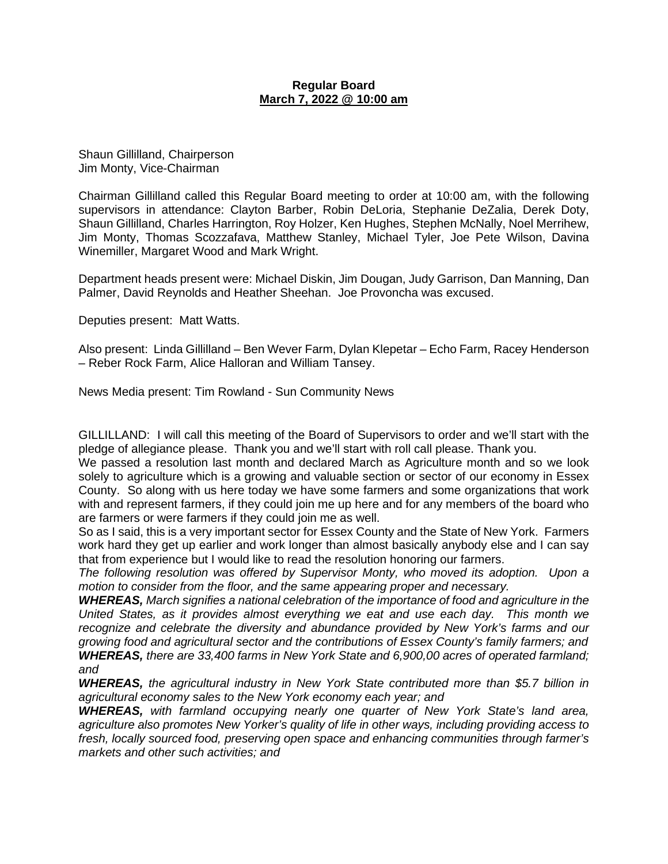## **Regular Board March 7, 2022 @ 10:00 am**

Shaun Gillilland, Chairperson Jim Monty, Vice-Chairman

Chairman Gillilland called this Regular Board meeting to order at 10:00 am, with the following supervisors in attendance: Clayton Barber, Robin DeLoria, Stephanie DeZalia, Derek Doty, Shaun Gillilland, Charles Harrington, Roy Holzer, Ken Hughes, Stephen McNally, Noel Merrihew, Jim Monty, Thomas Scozzafava, Matthew Stanley, Michael Tyler, Joe Pete Wilson, Davina Winemiller, Margaret Wood and Mark Wright.

Department heads present were: Michael Diskin, Jim Dougan, Judy Garrison, Dan Manning, Dan Palmer, David Reynolds and Heather Sheehan. Joe Provoncha was excused.

Deputies present: Matt Watts.

Also present: Linda Gillilland – Ben Wever Farm, Dylan Klepetar – Echo Farm, Racey Henderson – Reber Rock Farm, Alice Halloran and William Tansey.

News Media present: Tim Rowland - Sun Community News

GILLILLAND: I will call this meeting of the Board of Supervisors to order and we'll start with the pledge of allegiance please. Thank you and we'll start with roll call please. Thank you.

We passed a resolution last month and declared March as Agriculture month and so we look solely to agriculture which is a growing and valuable section or sector of our economy in Essex County. So along with us here today we have some farmers and some organizations that work with and represent farmers, if they could join me up here and for any members of the board who are farmers or were farmers if they could join me as well.

So as I said, this is a very important sector for Essex County and the State of New York. Farmers work hard they get up earlier and work longer than almost basically anybody else and I can say that from experience but I would like to read the resolution honoring our farmers.

*The following resolution was offered by Supervisor Monty, who moved its adoption. Upon a motion to consider from the floor, and the same appearing proper and necessary.*

*WHEREAS, March signifies a national celebration of the importance of food and agriculture in the United States, as it provides almost everything we eat and use each day. This month we recognize and celebrate the diversity and abundance provided by New York's farms and our growing food and agricultural sector and the contributions of Essex County's family farmers; and WHEREAS, there are 33,400 farms in New York State and 6,900,00 acres of operated farmland; and*

*WHEREAS, the agricultural industry in New York State contributed more than \$5.7 billion in agricultural economy sales to the New York economy each year; and*

*WHEREAS, with farmland occupying nearly one quarter of New York State's land area, agriculture also promotes New Yorker's quality of life in other ways, including providing access to fresh, locally sourced food, preserving open space and enhancing communities through farmer's markets and other such activities; and*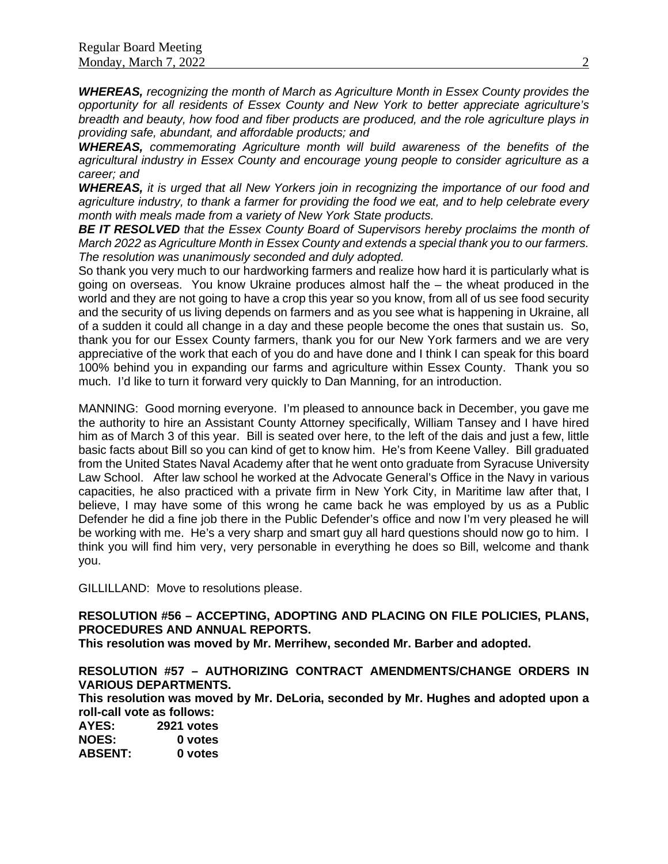*WHEREAS, recognizing the month of March as Agriculture Month in Essex County provides the opportunity for all residents of Essex County and New York to better appreciate agriculture's breadth and beauty, how food and fiber products are produced, and the role agriculture plays in providing safe, abundant, and affordable products; and*

*WHEREAS, commemorating Agriculture month will build awareness of the benefits of the agricultural industry in Essex County and encourage young people to consider agriculture as a career; and*

*WHEREAS, it is urged that all New Yorkers join in recognizing the importance of our food and agriculture industry, to thank a farmer for providing the food we eat, and to help celebrate every month with meals made from a variety of New York State products.*

*BE IT RESOLVED that the Essex County Board of Supervisors hereby proclaims the month of March 2022 as Agriculture Month in Essex County and extends a special thank you to our farmers. The resolution was unanimously seconded and duly adopted.*

So thank you very much to our hardworking farmers and realize how hard it is particularly what is going on overseas. You know Ukraine produces almost half the – the wheat produced in the world and they are not going to have a crop this year so you know, from all of us see food security and the security of us living depends on farmers and as you see what is happening in Ukraine, all of a sudden it could all change in a day and these people become the ones that sustain us. So, thank you for our Essex County farmers, thank you for our New York farmers and we are very appreciative of the work that each of you do and have done and I think I can speak for this board 100% behind you in expanding our farms and agriculture within Essex County. Thank you so much. I'd like to turn it forward very quickly to Dan Manning, for an introduction.

MANNING: Good morning everyone. I'm pleased to announce back in December, you gave me the authority to hire an Assistant County Attorney specifically, William Tansey and I have hired him as of March 3 of this year. Bill is seated over here, to the left of the dais and just a few, little basic facts about Bill so you can kind of get to know him. He's from Keene Valley. Bill graduated from the United States Naval Academy after that he went onto graduate from Syracuse University Law School. After law school he worked at the Advocate General's Office in the Navy in various capacities, he also practiced with a private firm in New York City, in Maritime law after that, I believe, I may have some of this wrong he came back he was employed by us as a Public Defender he did a fine job there in the Public Defender's office and now I'm very pleased he will be working with me. He's a very sharp and smart guy all hard questions should now go to him. I think you will find him very, very personable in everything he does so Bill, welcome and thank you.

GILLILLAND: Move to resolutions please.

**RESOLUTION #56 – ACCEPTING, ADOPTING AND PLACING ON FILE POLICIES, PLANS, PROCEDURES AND ANNUAL REPORTS.**

**This resolution was moved by Mr. Merrihew, seconded Mr. Barber and adopted.**

**RESOLUTION #57 – AUTHORIZING CONTRACT AMENDMENTS/CHANGE ORDERS IN VARIOUS DEPARTMENTS.**

**This resolution was moved by Mr. DeLoria, seconded by Mr. Hughes and adopted upon a roll-call vote as follows:** 

| AYES:          | 2921 votes |
|----------------|------------|
| <b>NOES:</b>   | 0 votes    |
| <b>ABSENT:</b> | 0 votes    |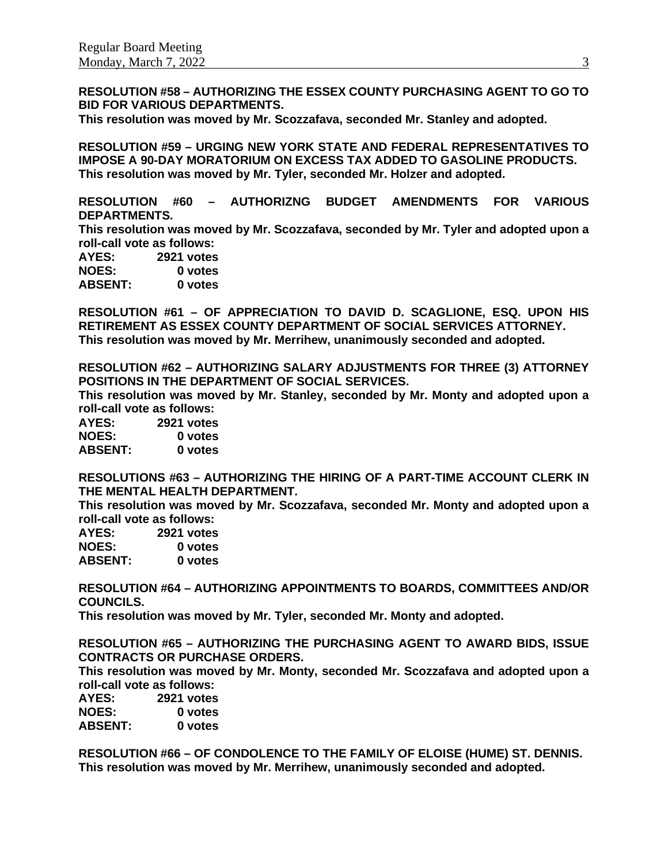**RESOLUTION #58 – AUTHORIZING THE ESSEX COUNTY PURCHASING AGENT TO GO TO BID FOR VARIOUS DEPARTMENTS.**

**This resolution was moved by Mr. Scozzafava, seconded Mr. Stanley and adopted.**

**RESOLUTION #59 – URGING NEW YORK STATE AND FEDERAL REPRESENTATIVES TO IMPOSE A 90-DAY MORATORIUM ON EXCESS TAX ADDED TO GASOLINE PRODUCTS. This resolution was moved by Mr. Tyler, seconded Mr. Holzer and adopted.**

**RESOLUTION #60 – AUTHORIZNG BUDGET AMENDMENTS FOR VARIOUS DEPARTMENTS.**

**This resolution was moved by Mr. Scozzafava, seconded by Mr. Tyler and adopted upon a roll-call vote as follows:** 

| AYES:          | 2921 votes |
|----------------|------------|
| <b>NOES:</b>   | 0 votes    |
| <b>ABSENT:</b> | 0 votes    |

**RESOLUTION #61 – OF APPRECIATION TO DAVID D. SCAGLIONE, ESQ. UPON HIS RETIREMENT AS ESSEX COUNTY DEPARTMENT OF SOCIAL SERVICES ATTORNEY. This resolution was moved by Mr. Merrihew, unanimously seconded and adopted.**

**RESOLUTION #62 – AUTHORIZING SALARY ADJUSTMENTS FOR THREE (3) ATTORNEY POSITIONS IN THE DEPARTMENT OF SOCIAL SERVICES.**

**This resolution was moved by Mr. Stanley, seconded by Mr. Monty and adopted upon a roll-call vote as follows:** 

| AYES:          | 2921 votes |
|----------------|------------|
| <b>NOES:</b>   | 0 votes    |
| <b>ABSENT:</b> | 0 votes    |

**RESOLUTIONS #63 – AUTHORIZING THE HIRING OF A PART-TIME ACCOUNT CLERK IN THE MENTAL HEALTH DEPARTMENT.**

**This resolution was moved by Mr. Scozzafava, seconded Mr. Monty and adopted upon a roll-call vote as follows:** 

| AYES:          | 2921 votes |
|----------------|------------|
| <b>NOES:</b>   | 0 votes    |
| <b>ABSENT:</b> | 0 votes    |

**RESOLUTION #64 – AUTHORIZING APPOINTMENTS TO BOARDS, COMMITTEES AND/OR COUNCILS.**

**This resolution was moved by Mr. Tyler, seconded Mr. Monty and adopted.**

**RESOLUTION #65 – AUTHORIZING THE PURCHASING AGENT TO AWARD BIDS, ISSUE CONTRACTS OR PURCHASE ORDERS.**

**This resolution was moved by Mr. Monty, seconded Mr. Scozzafava and adopted upon a roll-call vote as follows:** 

**AYES: 2921 votes NOES: 0 votes ABSENT: 0 votes**

**RESOLUTION #66 – OF CONDOLENCE TO THE FAMILY OF ELOISE (HUME) ST. DENNIS. This resolution was moved by Mr. Merrihew, unanimously seconded and adopted.**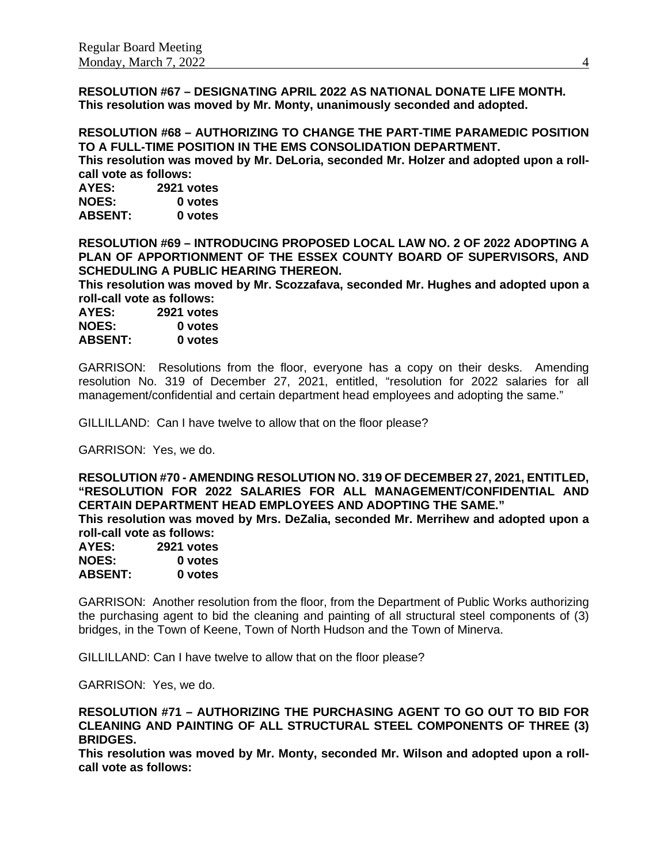**RESOLUTION #67 – DESIGNATING APRIL 2022 AS NATIONAL DONATE LIFE MONTH. This resolution was moved by Mr. Monty, unanimously seconded and adopted.**

**RESOLUTION #68 – AUTHORIZING TO CHANGE THE PART-TIME PARAMEDIC POSITION TO A FULL-TIME POSITION IN THE EMS CONSOLIDATION DEPARTMENT.**

**This resolution was moved by Mr. DeLoria, seconded Mr. Holzer and adopted upon a rollcall vote as follows:** 

**AYES: 2921 votes NOES: 0 votes ABSENT: 0 votes**

**RESOLUTION #69 – INTRODUCING PROPOSED LOCAL LAW NO. 2 OF 2022 ADOPTING A PLAN OF APPORTIONMENT OF THE ESSEX COUNTY BOARD OF SUPERVISORS, AND SCHEDULING A PUBLIC HEARING THEREON.**

**This resolution was moved by Mr. Scozzafava, seconded Mr. Hughes and adopted upon a roll-call vote as follows:** 

| AYES:          | 2921 votes |
|----------------|------------|
| <b>NOES:</b>   | 0 votes    |
| <b>ABSENT:</b> | 0 votes    |

GARRISON: Resolutions from the floor, everyone has a copy on their desks. Amending resolution No. 319 of December 27, 2021, entitled, "resolution for 2022 salaries for all management/confidential and certain department head employees and adopting the same."

GILLILLAND: Can I have twelve to allow that on the floor please?

GARRISON: Yes, we do.

**RESOLUTION #70 - AMENDING RESOLUTION NO. 319 OF DECEMBER 27, 2021, ENTITLED, "RESOLUTION FOR 2022 SALARIES FOR ALL MANAGEMENT/CONFIDENTIAL AND CERTAIN DEPARTMENT HEAD EMPLOYEES AND ADOPTING THE SAME."**

**This resolution was moved by Mrs. DeZalia, seconded Mr. Merrihew and adopted upon a roll-call vote as follows:** 

| AYES:          | <b>2921 votes</b> |
|----------------|-------------------|
| <b>NOES:</b>   | 0 votes           |
| <b>ABSENT:</b> | 0 votes           |

GARRISON: Another resolution from the floor, from the Department of Public Works authorizing the purchasing agent to bid the cleaning and painting of all structural steel components of (3) bridges, in the Town of Keene, Town of North Hudson and the Town of Minerva.

GILLILLAND: Can I have twelve to allow that on the floor please?

GARRISON: Yes, we do.

**RESOLUTION #71 – AUTHORIZING THE PURCHASING AGENT TO GO OUT TO BID FOR CLEANING AND PAINTING OF ALL STRUCTURAL STEEL COMPONENTS OF THREE (3) BRIDGES.**

**This resolution was moved by Mr. Monty, seconded Mr. Wilson and adopted upon a rollcall vote as follows:**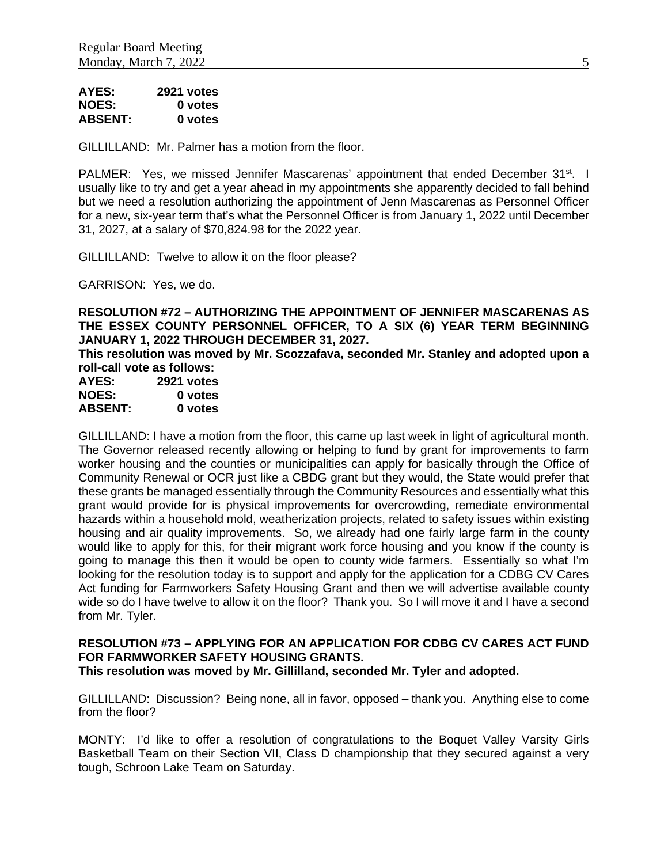| AYES:          | 2921 votes |
|----------------|------------|
| <b>NOES:</b>   | 0 votes    |
| <b>ABSENT:</b> | 0 votes    |

GILLILLAND: Mr. Palmer has a motion from the floor.

PALMER: Yes, we missed Jennifer Mascarenas' appointment that ended December 31<sup>st</sup>. I usually like to try and get a year ahead in my appointments she apparently decided to fall behind but we need a resolution authorizing the appointment of Jenn Mascarenas as Personnel Officer for a new, six-year term that's what the Personnel Officer is from January 1, 2022 until December 31, 2027, at a salary of \$70,824.98 for the 2022 year.

GILLILLAND: Twelve to allow it on the floor please?

GARRISON: Yes, we do.

**RESOLUTION #72 – AUTHORIZING THE APPOINTMENT OF JENNIFER MASCARENAS AS THE ESSEX COUNTY PERSONNEL OFFICER, TO A SIX (6) YEAR TERM BEGINNING JANUARY 1, 2022 THROUGH DECEMBER 31, 2027.**

**This resolution was moved by Mr. Scozzafava, seconded Mr. Stanley and adopted upon a roll-call vote as follows:** 

| AYES:          | 2921 votes |
|----------------|------------|
| <b>NOES:</b>   | 0 votes    |
| <b>ABSENT:</b> | 0 votes    |

GILLILLAND: I have a motion from the floor, this came up last week in light of agricultural month. The Governor released recently allowing or helping to fund by grant for improvements to farm worker housing and the counties or municipalities can apply for basically through the Office of Community Renewal or OCR just like a CBDG grant but they would, the State would prefer that these grants be managed essentially through the Community Resources and essentially what this grant would provide for is physical improvements for overcrowding, remediate environmental hazards within a household mold, weatherization projects, related to safety issues within existing housing and air quality improvements. So, we already had one fairly large farm in the county would like to apply for this, for their migrant work force housing and you know if the county is going to manage this then it would be open to county wide farmers. Essentially so what I'm looking for the resolution today is to support and apply for the application for a CDBG CV Cares Act funding for Farmworkers Safety Housing Grant and then we will advertise available county wide so do I have twelve to allow it on the floor? Thank you. So I will move it and I have a second from Mr. Tyler.

#### **RESOLUTION #73 – APPLYING FOR AN APPLICATION FOR CDBG CV CARES ACT FUND FOR FARMWORKER SAFETY HOUSING GRANTS. This resolution was moved by Mr. Gillilland, seconded Mr. Tyler and adopted.**

GILLILLAND: Discussion? Being none, all in favor, opposed – thank you. Anything else to come from the floor?

MONTY: I'd like to offer a resolution of congratulations to the Boquet Valley Varsity Girls Basketball Team on their Section VII, Class D championship that they secured against a very tough, Schroon Lake Team on Saturday.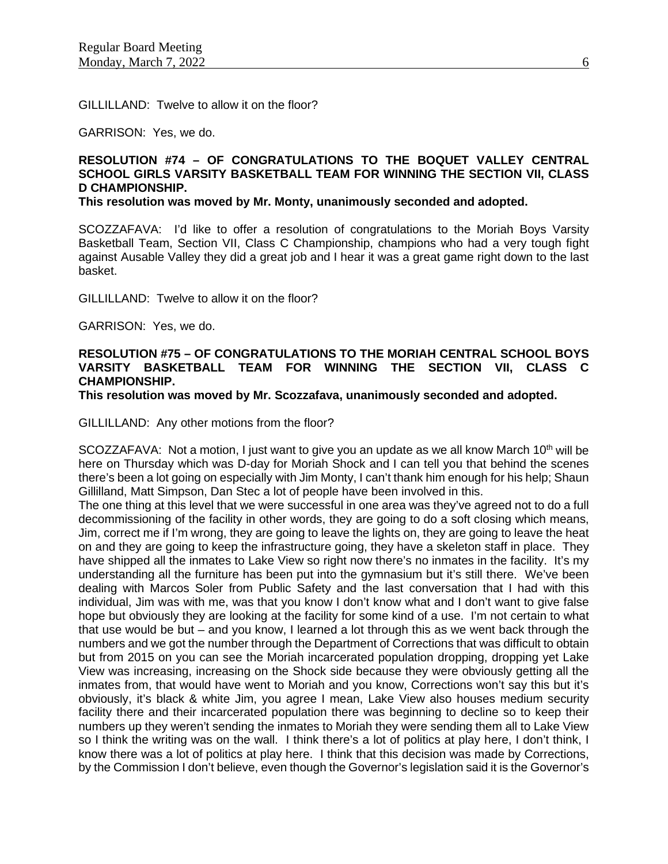GILLILLAND: Twelve to allow it on the floor?

GARRISON: Yes, we do.

# **RESOLUTION #74 – OF CONGRATULATIONS TO THE BOQUET VALLEY CENTRAL SCHOOL GIRLS VARSITY BASKETBALL TEAM FOR WINNING THE SECTION VII, CLASS D CHAMPIONSHIP.**

**This resolution was moved by Mr. Monty, unanimously seconded and adopted.**

SCOZZAFAVA: I'd like to offer a resolution of congratulations to the Moriah Boys Varsity Basketball Team, Section VII, Class C Championship, champions who had a very tough fight against Ausable Valley they did a great job and I hear it was a great game right down to the last basket.

GILLILLAND: Twelve to allow it on the floor?

GARRISON: Yes, we do.

# **RESOLUTION #75 – OF CONGRATULATIONS TO THE MORIAH CENTRAL SCHOOL BOYS VARSITY BASKETBALL TEAM FOR WINNING THE SECTION VII, CLASS C CHAMPIONSHIP.**

**This resolution was moved by Mr. Scozzafava, unanimously seconded and adopted.**

GILLILLAND: Any other motions from the floor?

SCOZZAFAVA: Not a motion, I just want to give you an update as we all know March 10<sup>th</sup> will be here on Thursday which was D-day for Moriah Shock and I can tell you that behind the scenes there's been a lot going on especially with Jim Monty, I can't thank him enough for his help; Shaun Gillilland, Matt Simpson, Dan Stec a lot of people have been involved in this.

The one thing at this level that we were successful in one area was they've agreed not to do a full decommissioning of the facility in other words, they are going to do a soft closing which means, Jim, correct me if I'm wrong, they are going to leave the lights on, they are going to leave the heat on and they are going to keep the infrastructure going, they have a skeleton staff in place. They have shipped all the inmates to Lake View so right now there's no inmates in the facility. It's my understanding all the furniture has been put into the gymnasium but it's still there. We've been dealing with Marcos Soler from Public Safety and the last conversation that I had with this individual, Jim was with me, was that you know I don't know what and I don't want to give false hope but obviously they are looking at the facility for some kind of a use. I'm not certain to what that use would be but – and you know, I learned a lot through this as we went back through the numbers and we got the number through the Department of Corrections that was difficult to obtain but from 2015 on you can see the Moriah incarcerated population dropping, dropping yet Lake View was increasing, increasing on the Shock side because they were obviously getting all the inmates from, that would have went to Moriah and you know, Corrections won't say this but it's obviously, it's black & white Jim, you agree I mean, Lake View also houses medium security facility there and their incarcerated population there was beginning to decline so to keep their numbers up they weren't sending the inmates to Moriah they were sending them all to Lake View so I think the writing was on the wall. I think there's a lot of politics at play here, I don't think, I know there was a lot of politics at play here. I think that this decision was made by Corrections, by the Commission I don't believe, even though the Governor's legislation said it is the Governor's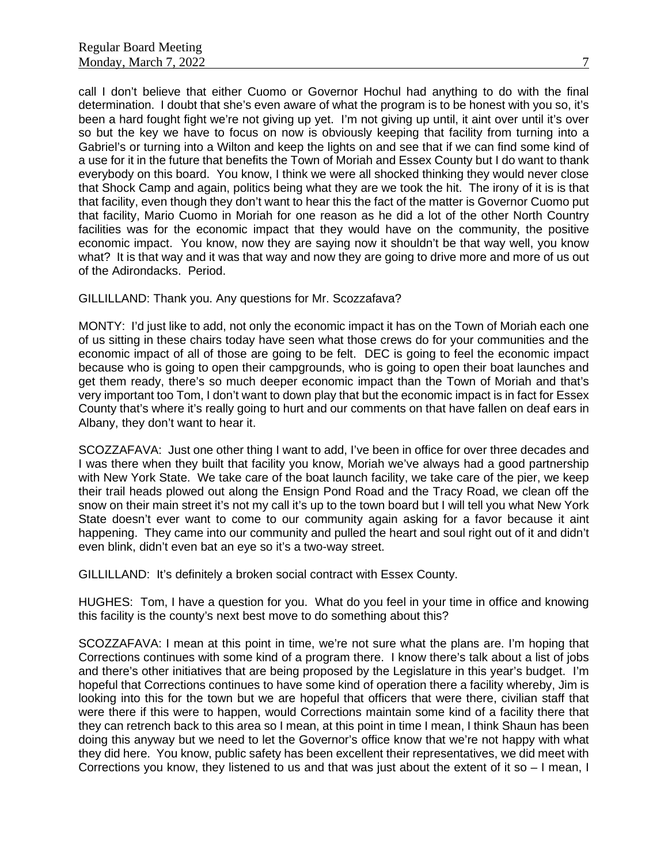call I don't believe that either Cuomo or Governor Hochul had anything to do with the final determination. I doubt that she's even aware of what the program is to be honest with you so, it's been a hard fought fight we're not giving up yet. I'm not giving up until, it aint over until it's over so but the key we have to focus on now is obviously keeping that facility from turning into a Gabriel's or turning into a Wilton and keep the lights on and see that if we can find some kind of a use for it in the future that benefits the Town of Moriah and Essex County but I do want to thank everybody on this board. You know, I think we were all shocked thinking they would never close that Shock Camp and again, politics being what they are we took the hit. The irony of it is is that that facility, even though they don't want to hear this the fact of the matter is Governor Cuomo put that facility, Mario Cuomo in Moriah for one reason as he did a lot of the other North Country facilities was for the economic impact that they would have on the community, the positive economic impact. You know, now they are saying now it shouldn't be that way well, you know what? It is that way and it was that way and now they are going to drive more and more of us out of the Adirondacks. Period.

GILLILLAND: Thank you. Any questions for Mr. Scozzafava?

MONTY: I'd just like to add, not only the economic impact it has on the Town of Moriah each one of us sitting in these chairs today have seen what those crews do for your communities and the economic impact of all of those are going to be felt. DEC is going to feel the economic impact because who is going to open their campgrounds, who is going to open their boat launches and get them ready, there's so much deeper economic impact than the Town of Moriah and that's very important too Tom, I don't want to down play that but the economic impact is in fact for Essex County that's where it's really going to hurt and our comments on that have fallen on deaf ears in Albany, they don't want to hear it.

SCOZZAFAVA: Just one other thing I want to add, I've been in office for over three decades and I was there when they built that facility you know, Moriah we've always had a good partnership with New York State. We take care of the boat launch facility, we take care of the pier, we keep their trail heads plowed out along the Ensign Pond Road and the Tracy Road, we clean off the snow on their main street it's not my call it's up to the town board but I will tell you what New York State doesn't ever want to come to our community again asking for a favor because it aint happening. They came into our community and pulled the heart and soul right out of it and didn't even blink, didn't even bat an eye so it's a two-way street.

GILLILLAND: It's definitely a broken social contract with Essex County.

HUGHES: Tom, I have a question for you. What do you feel in your time in office and knowing this facility is the county's next best move to do something about this?

SCOZZAFAVA: I mean at this point in time, we're not sure what the plans are. I'm hoping that Corrections continues with some kind of a program there. I know there's talk about a list of jobs and there's other initiatives that are being proposed by the Legislature in this year's budget. I'm hopeful that Corrections continues to have some kind of operation there a facility whereby, Jim is looking into this for the town but we are hopeful that officers that were there, civilian staff that were there if this were to happen, would Corrections maintain some kind of a facility there that they can retrench back to this area so I mean, at this point in time I mean, I think Shaun has been doing this anyway but we need to let the Governor's office know that we're not happy with what they did here. You know, public safety has been excellent their representatives, we did meet with Corrections you know, they listened to us and that was just about the extent of it so – I mean, I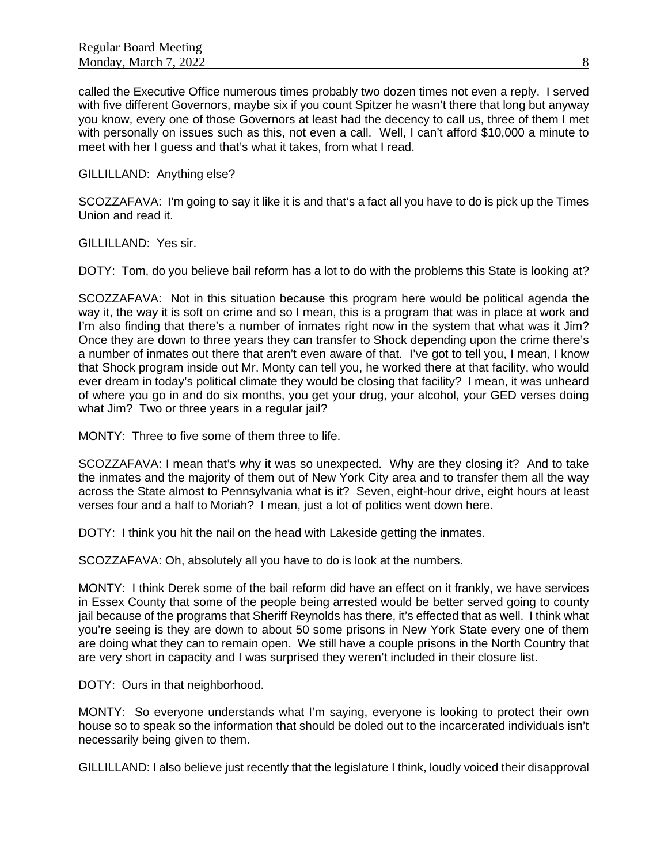called the Executive Office numerous times probably two dozen times not even a reply. I served with five different Governors, maybe six if you count Spitzer he wasn't there that long but anyway you know, every one of those Governors at least had the decency to call us, three of them I met with personally on issues such as this, not even a call. Well, I can't afford \$10,000 a minute to meet with her I guess and that's what it takes, from what I read.

## GILLILLAND: Anything else?

SCOZZAFAVA: I'm going to say it like it is and that's a fact all you have to do is pick up the Times Union and read it.

GILLILLAND: Yes sir.

DOTY: Tom, do you believe bail reform has a lot to do with the problems this State is looking at?

SCOZZAFAVA: Not in this situation because this program here would be political agenda the way it, the way it is soft on crime and so I mean, this is a program that was in place at work and I'm also finding that there's a number of inmates right now in the system that what was it Jim? Once they are down to three years they can transfer to Shock depending upon the crime there's a number of inmates out there that aren't even aware of that. I've got to tell you, I mean, I know that Shock program inside out Mr. Monty can tell you, he worked there at that facility, who would ever dream in today's political climate they would be closing that facility? I mean, it was unheard of where you go in and do six months, you get your drug, your alcohol, your GED verses doing what Jim? Two or three years in a regular jail?

MONTY: Three to five some of them three to life.

SCOZZAFAVA: I mean that's why it was so unexpected. Why are they closing it? And to take the inmates and the majority of them out of New York City area and to transfer them all the way across the State almost to Pennsylvania what is it? Seven, eight-hour drive, eight hours at least verses four and a half to Moriah? I mean, just a lot of politics went down here.

DOTY: I think you hit the nail on the head with Lakeside getting the inmates.

SCOZZAFAVA: Oh, absolutely all you have to do is look at the numbers.

MONTY: I think Derek some of the bail reform did have an effect on it frankly, we have services in Essex County that some of the people being arrested would be better served going to county jail because of the programs that Sheriff Reynolds has there, it's effected that as well. I think what you're seeing is they are down to about 50 some prisons in New York State every one of them are doing what they can to remain open. We still have a couple prisons in the North Country that are very short in capacity and I was surprised they weren't included in their closure list.

DOTY: Ours in that neighborhood.

MONTY: So everyone understands what I'm saying, everyone is looking to protect their own house so to speak so the information that should be doled out to the incarcerated individuals isn't necessarily being given to them.

GILLILLAND: I also believe just recently that the legislature I think, loudly voiced their disapproval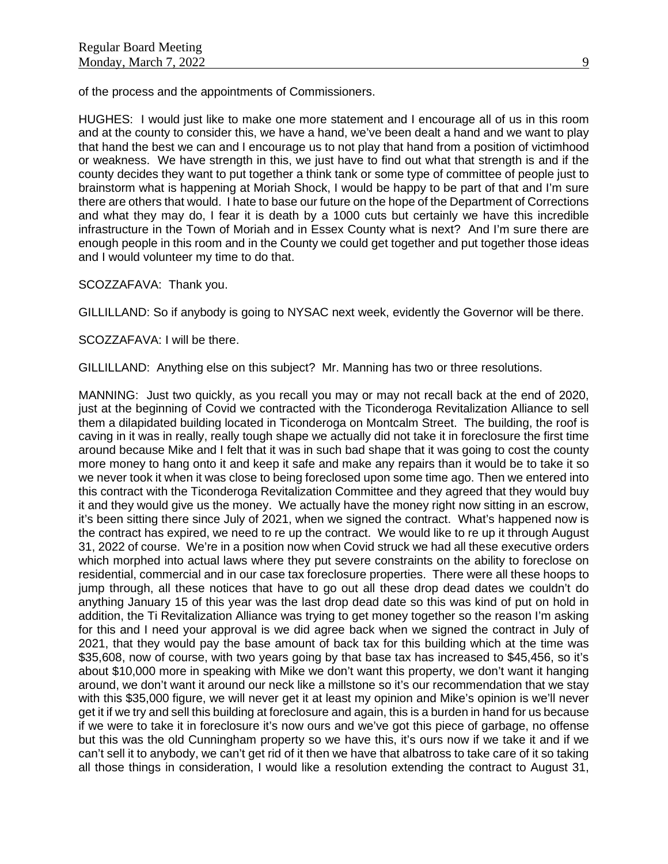of the process and the appointments of Commissioners.

HUGHES: I would just like to make one more statement and I encourage all of us in this room and at the county to consider this, we have a hand, we've been dealt a hand and we want to play that hand the best we can and I encourage us to not play that hand from a position of victimhood or weakness. We have strength in this, we just have to find out what that strength is and if the county decides they want to put together a think tank or some type of committee of people just to brainstorm what is happening at Moriah Shock, I would be happy to be part of that and I'm sure there are others that would. I hate to base our future on the hope of the Department of Corrections and what they may do, I fear it is death by a 1000 cuts but certainly we have this incredible infrastructure in the Town of Moriah and in Essex County what is next? And I'm sure there are enough people in this room and in the County we could get together and put together those ideas and I would volunteer my time to do that.

SCOZZAFAVA: Thank you.

GILLILLAND: So if anybody is going to NYSAC next week, evidently the Governor will be there.

SCOZZAFAVA: I will be there.

GILLILLAND: Anything else on this subject? Mr. Manning has two or three resolutions.

MANNING: Just two quickly, as you recall you may or may not recall back at the end of 2020, just at the beginning of Covid we contracted with the Ticonderoga Revitalization Alliance to sell them a dilapidated building located in Ticonderoga on Montcalm Street. The building, the roof is caving in it was in really, really tough shape we actually did not take it in foreclosure the first time around because Mike and I felt that it was in such bad shape that it was going to cost the county more money to hang onto it and keep it safe and make any repairs than it would be to take it so we never took it when it was close to being foreclosed upon some time ago. Then we entered into this contract with the Ticonderoga Revitalization Committee and they agreed that they would buy it and they would give us the money. We actually have the money right now sitting in an escrow, it's been sitting there since July of 2021, when we signed the contract. What's happened now is the contract has expired, we need to re up the contract. We would like to re up it through August 31, 2022 of course. We're in a position now when Covid struck we had all these executive orders which morphed into actual laws where they put severe constraints on the ability to foreclose on residential, commercial and in our case tax foreclosure properties. There were all these hoops to jump through, all these notices that have to go out all these drop dead dates we couldn't do anything January 15 of this year was the last drop dead date so this was kind of put on hold in addition, the Ti Revitalization Alliance was trying to get money together so the reason I'm asking for this and I need your approval is we did agree back when we signed the contract in July of 2021, that they would pay the base amount of back tax for this building which at the time was \$35,608, now of course, with two years going by that base tax has increased to \$45,456, so it's about \$10,000 more in speaking with Mike we don't want this property, we don't want it hanging around, we don't want it around our neck like a millstone so it's our recommendation that we stay with this \$35,000 figure, we will never get it at least my opinion and Mike's opinion is we'll never get it if we try and sell this building at foreclosure and again, this is a burden in hand for us because if we were to take it in foreclosure it's now ours and we've got this piece of garbage, no offense but this was the old Cunningham property so we have this, it's ours now if we take it and if we can't sell it to anybody, we can't get rid of it then we have that albatross to take care of it so taking all those things in consideration, I would like a resolution extending the contract to August 31,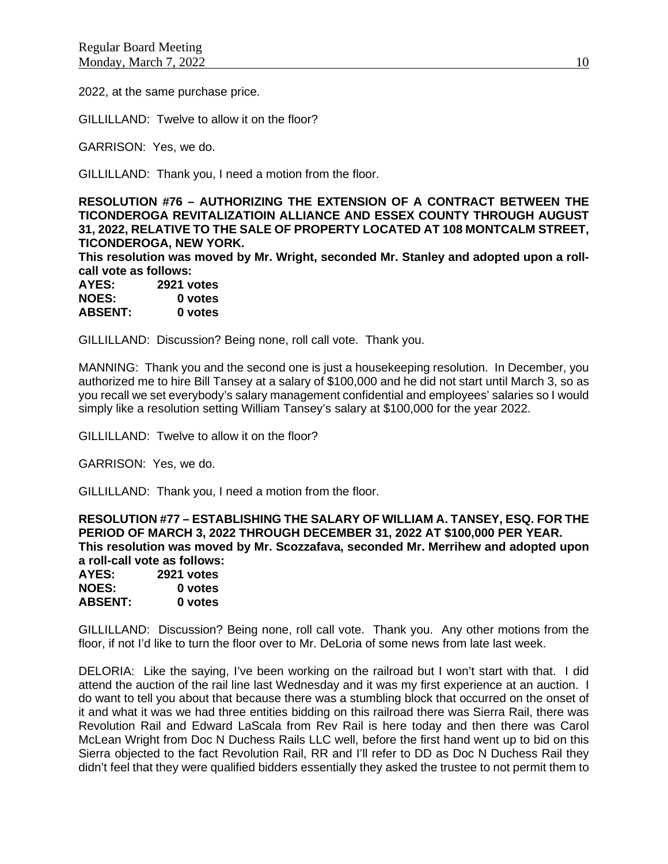2022, at the same purchase price.

GILLILLAND: Twelve to allow it on the floor?

GARRISON: Yes, we do.

GILLILLAND: Thank you, I need a motion from the floor.

**RESOLUTION #76 – AUTHORIZING THE EXTENSION OF A CONTRACT BETWEEN THE TICONDEROGA REVITALIZATIOIN ALLIANCE AND ESSEX COUNTY THROUGH AUGUST 31, 2022, RELATIVE TO THE SALE OF PROPERTY LOCATED AT 108 MONTCALM STREET, TICONDEROGA, NEW YORK.**

**This resolution was moved by Mr. Wright, seconded Mr. Stanley and adopted upon a rollcall vote as follows:** 

| AYES:          | 2921 votes |
|----------------|------------|
| <b>NOES:</b>   | 0 votes    |
| <b>ABSENT:</b> | 0 votes    |

GILLILLAND: Discussion? Being none, roll call vote. Thank you.

MANNING: Thank you and the second one is just a housekeeping resolution. In December, you authorized me to hire Bill Tansey at a salary of \$100,000 and he did not start until March 3, so as you recall we set everybody's salary management confidential and employees' salaries so I would simply like a resolution setting William Tansey's salary at \$100,000 for the year 2022.

GILLILLAND: Twelve to allow it on the floor?

GARRISON: Yes, we do.

GILLILLAND: Thank you, I need a motion from the floor.

**RESOLUTION #77 – ESTABLISHING THE SALARY OF WILLIAM A. TANSEY, ESQ. FOR THE PERIOD OF MARCH 3, 2022 THROUGH DECEMBER 31, 2022 AT \$100,000 PER YEAR. This resolution was moved by Mr. Scozzafava, seconded Mr. Merrihew and adopted upon a roll-call vote as follows:** 

| AYES:          | 2921 votes |
|----------------|------------|
| <b>NOES:</b>   | 0 votes    |
| <b>ABSENT:</b> | 0 votes    |

GILLILLAND: Discussion? Being none, roll call vote. Thank you. Any other motions from the floor, if not I'd like to turn the floor over to Mr. DeLoria of some news from late last week.

DELORIA: Like the saying, I've been working on the railroad but I won't start with that. I did attend the auction of the rail line last Wednesday and it was my first experience at an auction. I do want to tell you about that because there was a stumbling block that occurred on the onset of it and what it was we had three entities bidding on this railroad there was Sierra Rail, there was Revolution Rail and Edward LaScala from Rev Rail is here today and then there was Carol McLean Wright from Doc N Duchess Rails LLC well, before the first hand went up to bid on this Sierra objected to the fact Revolution Rail, RR and I'll refer to DD as Doc N Duchess Rail they didn't feel that they were qualified bidders essentially they asked the trustee to not permit them to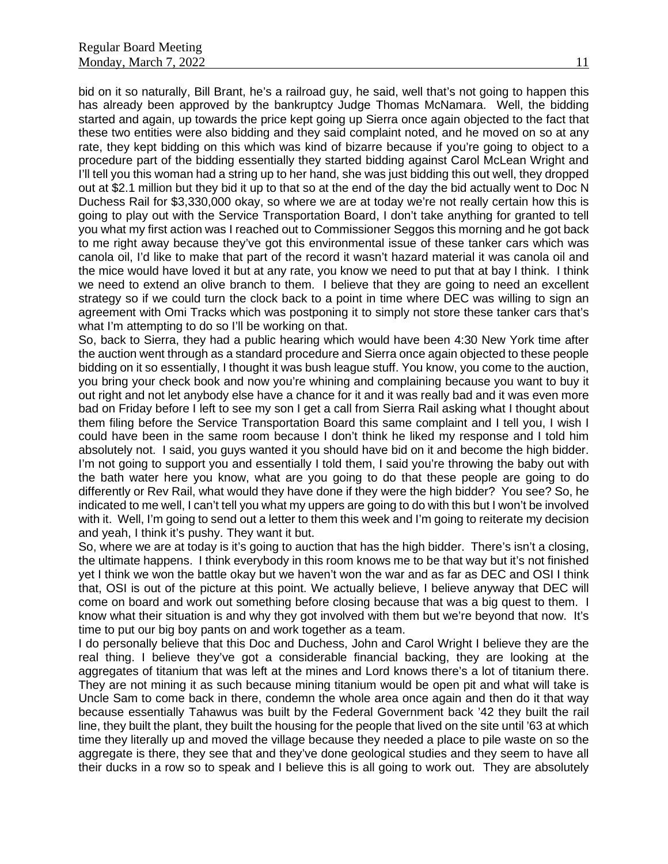bid on it so naturally, Bill Brant, he's a railroad guy, he said, well that's not going to happen this has already been approved by the bankruptcy Judge Thomas McNamara. Well, the bidding started and again, up towards the price kept going up Sierra once again objected to the fact that these two entities were also bidding and they said complaint noted, and he moved on so at any rate, they kept bidding on this which was kind of bizarre because if you're going to object to a procedure part of the bidding essentially they started bidding against Carol McLean Wright and I'll tell you this woman had a string up to her hand, she was just bidding this out well, they dropped out at \$2.1 million but they bid it up to that so at the end of the day the bid actually went to Doc N Duchess Rail for \$3,330,000 okay, so where we are at today we're not really certain how this is going to play out with the Service Transportation Board, I don't take anything for granted to tell you what my first action was I reached out to Commissioner Seggos this morning and he got back to me right away because they've got this environmental issue of these tanker cars which was canola oil, I'd like to make that part of the record it wasn't hazard material it was canola oil and the mice would have loved it but at any rate, you know we need to put that at bay I think. I think we need to extend an olive branch to them. I believe that they are going to need an excellent strategy so if we could turn the clock back to a point in time where DEC was willing to sign an agreement with Omi Tracks which was postponing it to simply not store these tanker cars that's what I'm attempting to do so I'll be working on that.

So, back to Sierra, they had a public hearing which would have been 4:30 New York time after the auction went through as a standard procedure and Sierra once again objected to these people bidding on it so essentially, I thought it was bush league stuff. You know, you come to the auction, you bring your check book and now you're whining and complaining because you want to buy it out right and not let anybody else have a chance for it and it was really bad and it was even more bad on Friday before I left to see my son I get a call from Sierra Rail asking what I thought about them filing before the Service Transportation Board this same complaint and I tell you, I wish I could have been in the same room because I don't think he liked my response and I told him absolutely not. I said, you guys wanted it you should have bid on it and become the high bidder. I'm not going to support you and essentially I told them, I said you're throwing the baby out with the bath water here you know, what are you going to do that these people are going to do differently or Rev Rail, what would they have done if they were the high bidder? You see? So, he indicated to me well, I can't tell you what my uppers are going to do with this but I won't be involved with it. Well, I'm going to send out a letter to them this week and I'm going to reiterate my decision and yeah, I think it's pushy. They want it but.

So, where we are at today is it's going to auction that has the high bidder. There's isn't a closing, the ultimate happens. I think everybody in this room knows me to be that way but it's not finished yet I think we won the battle okay but we haven't won the war and as far as DEC and OSI I think that, OSI is out of the picture at this point. We actually believe, I believe anyway that DEC will come on board and work out something before closing because that was a big quest to them. I know what their situation is and why they got involved with them but we're beyond that now. It's time to put our big boy pants on and work together as a team.

I do personally believe that this Doc and Duchess, John and Carol Wright I believe they are the real thing. I believe they've got a considerable financial backing, they are looking at the aggregates of titanium that was left at the mines and Lord knows there's a lot of titanium there. They are not mining it as such because mining titanium would be open pit and what will take is Uncle Sam to come back in there, condemn the whole area once again and then do it that way because essentially Tahawus was built by the Federal Government back '42 they built the rail line, they built the plant, they built the housing for the people that lived on the site until '63 at which time they literally up and moved the village because they needed a place to pile waste on so the aggregate is there, they see that and they've done geological studies and they seem to have all their ducks in a row so to speak and I believe this is all going to work out. They are absolutely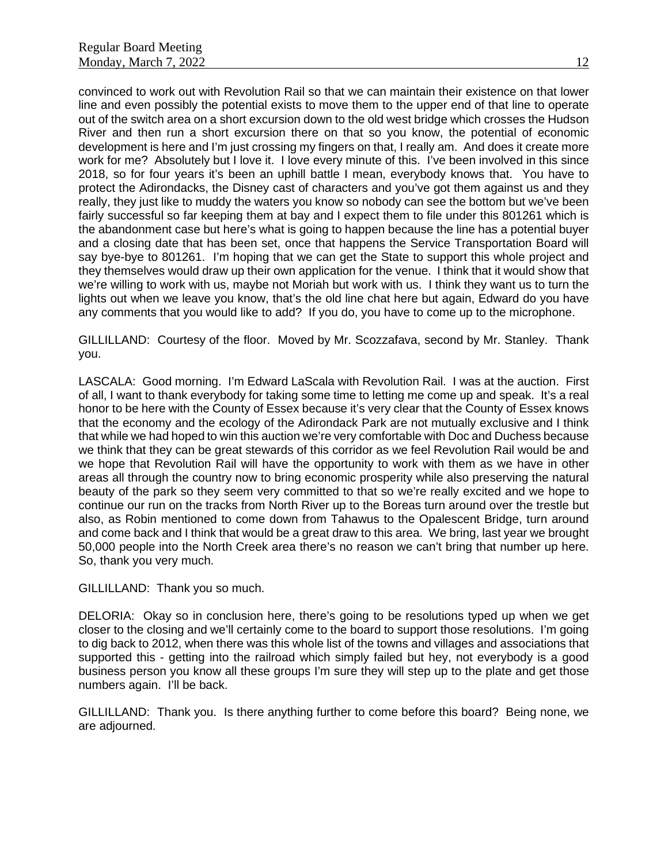convinced to work out with Revolution Rail so that we can maintain their existence on that lower line and even possibly the potential exists to move them to the upper end of that line to operate out of the switch area on a short excursion down to the old west bridge which crosses the Hudson River and then run a short excursion there on that so you know, the potential of economic development is here and I'm just crossing my fingers on that, I really am. And does it create more work for me? Absolutely but I love it. I love every minute of this. I've been involved in this since 2018, so for four years it's been an uphill battle I mean, everybody knows that. You have to protect the Adirondacks, the Disney cast of characters and you've got them against us and they really, they just like to muddy the waters you know so nobody can see the bottom but we've been fairly successful so far keeping them at bay and I expect them to file under this 801261 which is the abandonment case but here's what is going to happen because the line has a potential buyer and a closing date that has been set, once that happens the Service Transportation Board will say bye-bye to 801261. I'm hoping that we can get the State to support this whole project and they themselves would draw up their own application for the venue. I think that it would show that we're willing to work with us, maybe not Moriah but work with us. I think they want us to turn the lights out when we leave you know, that's the old line chat here but again, Edward do you have any comments that you would like to add? If you do, you have to come up to the microphone.

GILLILLAND: Courtesy of the floor. Moved by Mr. Scozzafava, second by Mr. Stanley. Thank you.

LASCALA: Good morning. I'm Edward LaScala with Revolution Rail. I was at the auction. First of all, I want to thank everybody for taking some time to letting me come up and speak. It's a real honor to be here with the County of Essex because it's very clear that the County of Essex knows that the economy and the ecology of the Adirondack Park are not mutually exclusive and I think that while we had hoped to win this auction we're very comfortable with Doc and Duchess because we think that they can be great stewards of this corridor as we feel Revolution Rail would be and we hope that Revolution Rail will have the opportunity to work with them as we have in other areas all through the country now to bring economic prosperity while also preserving the natural beauty of the park so they seem very committed to that so we're really excited and we hope to continue our run on the tracks from North River up to the Boreas turn around over the trestle but also, as Robin mentioned to come down from Tahawus to the Opalescent Bridge, turn around and come back and I think that would be a great draw to this area. We bring, last year we brought 50,000 people into the North Creek area there's no reason we can't bring that number up here. So, thank you very much.

GILLILLAND: Thank you so much.

DELORIA: Okay so in conclusion here, there's going to be resolutions typed up when we get closer to the closing and we'll certainly come to the board to support those resolutions. I'm going to dig back to 2012, when there was this whole list of the towns and villages and associations that supported this - getting into the railroad which simply failed but hey, not everybody is a good business person you know all these groups I'm sure they will step up to the plate and get those numbers again. I'll be back.

GILLILLAND: Thank you. Is there anything further to come before this board? Being none, we are adjourned.